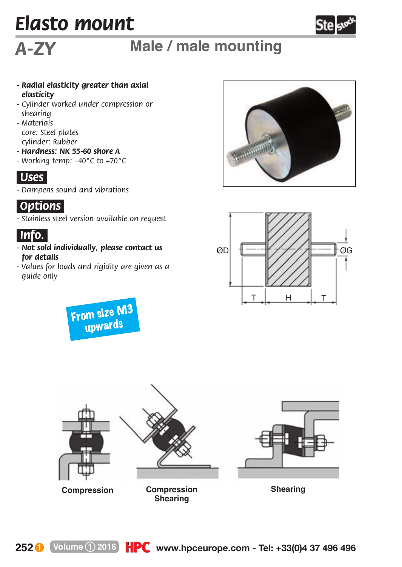## *Elasto mount*



## *A-ZY* **Male / male mounting**

- *Radial elasticity greater than axial elasticity*
- *Cylinder worked under compression or shearing*
- *Materials core: Steel plates cylinder: Rubber*
- *Hardness: NK 55-60 shore A*
- *Working temp: - 40°C to +70°C*



*- Dampens sound and vibrations*



*- Stainless steel version available on request*



- *Not sold individually, please contact us for details*
- *Values for loads and rigidity are given as a guide only*

From size M3 upwards







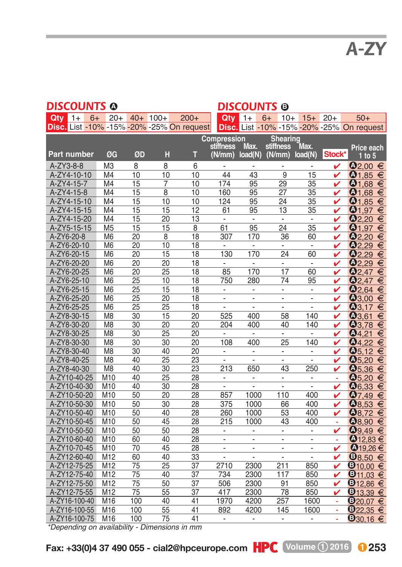| DISCOUNTS @        |                            |      |                                  |                 |                                               |                                           | <b>DISCOUNTS ®</b>                         |                                |        |                          |                                 |                          |                                                                  |
|--------------------|----------------------------|------|----------------------------------|-----------------|-----------------------------------------------|-------------------------------------------|--------------------------------------------|--------------------------------|--------|--------------------------|---------------------------------|--------------------------|------------------------------------------------------------------|
| Qtv                | $1+$                       | $6+$ | $20+$                            |                 | $40+ 100+$                                    | $200+$                                    | Qtv                                        | $1+$                           | $6+$   | $10+$                    | $15+$                           | $20+$                    | $50+$                                                            |
|                    |                            |      |                                  |                 |                                               | Disc. List -10% -15% -20% -25% On request |                                            |                                |        |                          |                                 |                          | Disc. List -10% -15% -20% -25% On request                        |
|                    |                            |      |                                  |                 |                                               |                                           | Compression                                |                                |        | Shearing                 |                                 |                          |                                                                  |
|                    |                            |      |                                  |                 |                                               |                                           | stiffness                                  | Max.                           |        | stiffness                | Max.                            |                          | Price each                                                       |
| <b>Part number</b> |                            |      | ØG                               | ØD              | н                                             | т                                         | (N/mm)                                     | load(N)                        | (N/mm) |                          | load(N)                         | Stock*                   | $1$ to $5$                                                       |
| A-ZY3-8-8          |                            |      | M <sub>3</sub>                   | 8               | 8                                             | 6                                         | $\overline{a}$                             | ÷                              |        | $\overline{a}$           | $\overline{\phantom{0}}$        | v                        | $\mathbf{0}_{2,00}$ €                                            |
|                    | A-ZY4-10-10                |      | M <sub>4</sub>                   | 10              | 10                                            | 10                                        | 44                                         | 43                             |        | 9                        | 15                              | ✓                        | $\mathbf{0}_{1,85}$ €                                            |
|                    | A-ZY4-15-7                 |      | M <sub>4</sub>                   | 15              | 7                                             | 10                                        | 174                                        | 95                             |        | 29                       | 35                              | ✓                        | $\mathbf{0}_{1,68}$ $\in$                                        |
|                    | A-ZY4-15-8                 |      | M <sub>4</sub>                   | 15              | 8                                             | 10                                        | 160                                        | 95                             |        | 27                       | 35                              | v                        | $\mathbf{Q}_{1,68}$ €                                            |
|                    | A-ZY4-15-10                |      | M <sub>4</sub>                   | 15              | 10                                            | 10                                        | 124                                        | 95                             |        | 24                       | 35                              | ✓                        | $\Phi$ <sub>1,85</sub> $\in$                                     |
|                    | A-ZY4-15-15                |      | M <sub>4</sub>                   | 15              | 15                                            | 12                                        | 61                                         | 95                             |        | 13                       | 35                              | v                        | ① <sub>1,97</sub> ∈                                              |
|                    | A-ZY4-15-20                |      | M <sub>4</sub>                   | 15              | 20                                            | 13                                        | $\overline{\phantom{a}}$                   | $\blacksquare$                 |        | $\blacksquare$           | $\overline{\phantom{a}}$        | v                        | $\odot$ 2,20 €                                                   |
|                    | A-ZY5-15-15                |      | M <sub>5</sub>                   | 15              | 15                                            | 8                                         | 61                                         | 95                             |        | 24                       | 35                              | ✓                        | $Q_{1,97}$<br>€                                                  |
| A-ZY6-20-8         |                            |      | M <sub>6</sub>                   | 20              | 8                                             | 18                                        | 307                                        | 170                            |        | 36                       | 60                              | v                        | $Q_{2,20}$<br>€                                                  |
|                    | A-ZY6-20-10                |      | M <sub>6</sub>                   | 20              | 10                                            | 18                                        | $\overline{\phantom{a}}$                   | $\overline{\phantom{a}}$       |        | $\frac{1}{2}$            | $\overline{\phantom{a}}$        | v                        | $Q_{2,29}$<br>€                                                  |
|                    | A-ZY6-20-15                |      | M <sub>6</sub>                   | 20              | 15                                            | 18                                        | 130                                        | 170                            |        | 24                       | 60                              | v                        | $Q_{2,29}$<br>€                                                  |
|                    | A-ZY6-20-20                |      | M <sub>6</sub>                   | 20              | 20                                            | 18                                        | $\overline{\phantom{a}}$                   | ÷                              |        | $\frac{1}{2}$            | $\overline{\phantom{a}}$        | v                        | $Q_{2,29}$<br>€                                                  |
|                    | A-ZY6-20-25                |      | M <sub>6</sub>                   | 20              | 25                                            | 18                                        | 85                                         | 170                            |        | 17                       | 60                              | v                        | $Q_{2,47}$<br>€                                                  |
|                    | A-ZY6-25-10                |      | M <sub>6</sub>                   | 25              | 10                                            | 18                                        | 750                                        | 280                            |        | 74                       | 95                              | v                        | $Q$ <sub>2.47</sub><br>€                                         |
|                    | A-ZY6-25-15                |      | M <sub>6</sub>                   | $\overline{25}$ | 15                                            | 18                                        | $\overline{\phantom{a}}$                   | $\overline{\phantom{a}}$       |        | $\frac{1}{2}$            | $\overline{\phantom{a}}$        | ✓                        | $Q_{2,64}$<br>€                                                  |
|                    | A-ZY6-25-20                |      | M6                               | 25              | 20                                            | 18                                        | $\overline{a}$                             | $\overline{a}$                 |        | ÷,                       | $\overline{a}$                  | v                        | $^{03,00}$<br>€                                                  |
|                    | A-ZY6-25-25                |      | M <sub>6</sub>                   | 25              | 25                                            | 18                                        | $\overline{\phantom{a}}$                   | $\overline{a}$                 |        | $\frac{1}{2}$            | $\centering \label{eq:reduced}$ | v                        | $Q$ 3.17<br>€                                                    |
|                    | A-ZY8-30-15                |      | M <sub>8</sub>                   | 30              | 15                                            | 20                                        | 525                                        | 400                            |        | 58                       | 140                             | ✓                        | $Q_{3,61}$<br>€                                                  |
|                    | A-ZY8-30-20                |      | M8                               | 30              | $\overline{20}$                               | 20                                        | 204                                        | 400                            |        | 40                       | 140                             | v                        | $Q_{3,78}$<br>€                                                  |
|                    | A-ZY8-30-25                |      | M <sub>8</sub>                   | 30              | 25                                            | 20                                        | $\overline{\phantom{a}}$                   | $\blacksquare$                 |        | ÷.                       | ٠                               | ✓                        | $Q_{4,21}$<br>€                                                  |
|                    | A-ZY8-30-30                |      | M <sub>8</sub>                   | 30              | 30                                            | 20                                        | 108                                        | 400                            |        | 25                       | 140                             | ✓                        | $Q_{4,22}$<br>€                                                  |
|                    | A-ZY8-30-40                |      | M <sub>8</sub><br>M <sub>8</sub> | 30<br>40        | 40<br>25                                      | 20<br>23                                  | $\overline{\phantom{a}}$                   | $\frac{1}{2}$                  |        | $\overline{\phantom{a}}$ | $\overline{\phantom{0}}$        | v                        | $Q_{5,12}$<br>€                                                  |
|                    | A-ZY8-40-25<br>A-ZY8-40-30 |      | M <sub>8</sub>                   | 40              | 30                                            | $\overline{23}$                           | $\overline{\phantom{a}}$<br>213            | $\overline{a}$<br>650          |        | $\overline{a}$<br>43     | $\overline{\phantom{a}}$<br>250 | ✓<br>v                   | $Q_{5,20}$<br>$\epsilon$<br>$\overline{\mathbf{0}}_{5,36}$ $\in$ |
|                    | A-ZY10-40-25               |      | M10                              | 40              | 25                                            | 28                                        |                                            |                                |        |                          | $\overline{\phantom{a}}$        | $\overline{\phantom{a}}$ | $Q_{5,20}$<br>$\epsilon$                                         |
|                    | A-ZY10-40-30               |      | M10                              | 40              | 30                                            | 28                                        | $\overline{\phantom{a}}$<br>$\overline{a}$ | $\overline{\phantom{a}}$<br>L, |        | ۰<br>$\overline{a}$      | $\overline{a}$                  | v                        | $\mathbf{0}_{6,33}$<br>$\epsilon$                                |
|                    | A-ZY10-50-20               |      | M10                              | 50              | 20                                            | 28                                        | 857                                        | 1000                           |        | 110                      | 400                             | ✓                        | Q7,49<br>$\epsilon$                                              |
|                    | A-ZY10-50-30               |      | M <sub>10</sub>                  | 50              | 30                                            | 28                                        | 375                                        | 1000                           |        | 66                       | 400                             | v                        | $\mathbf{0}_{8,53}$ $\in$                                        |
|                    | A-ZY10-50-40               |      | M10                              | 50              | 40                                            | 28                                        | 260                                        | 1000                           |        | 53                       | 400                             | v                        | <b>0</b> 8,72<br>€                                               |
|                    | A-ZY10-50-45               |      | M <sub>10</sub>                  | 50              | 45                                            | 28                                        | 215                                        | 1000                           |        | 43                       | 400                             |                          | <b>Q8,90</b><br>€                                                |
|                    | A-ZY10-50-50               |      | M10                              | 50              | 50                                            | 28                                        | $\overline{\phantom{a}}$                   | $\overline{\phantom{m}}$       |        | $\frac{1}{2}$            |                                 | v                        | $Q_{9,49}$<br>€                                                  |
|                    | A-ZY10-60-40               |      | M <sub>10</sub>                  | 60              | 40                                            | $\overline{28}$                           | $\overline{a}$                             | L,                             |        | $\overline{a}$           | $\overline{a}$                  |                          | $\mathbf{0}$ 12,83 €                                             |
|                    | A-ZY10-70-45               |      | M10                              | 70              | 45                                            | 28                                        | $\overline{\phantom{a}}$                   | $\overline{\phantom{a}}$       |        | $\overline{\phantom{a}}$ | -                               | v                        | $①$ <sub>19,26</sub> €                                           |
|                    | A-ZY12-60-40               |      | M12                              | 60              | 40                                            | 33                                        |                                            |                                |        |                          |                                 | ✓                        | <b>38.50</b><br>€                                                |
|                    | A-ZY12-75-25               |      | M12                              | 75              | 25                                            | 37                                        | 2710                                       | 2300                           |        | 211                      | 850                             | v                        | $\mathbf{\Theta}_{10,00} \in$                                    |
|                    | A-ZY12-75-40               |      | M12                              | 75              | 40                                            | 37                                        | 734                                        | 2300                           |        | 117                      | 850                             | v                        | $\overline{\mathbf{0}}$ 11,03 $\in$                              |
|                    | A-ZY12-75-50               |      | M12                              | $\overline{75}$ | 50                                            | $\overline{37}$                           | 506                                        | 2300                           |        | 91                       | 850                             | v                        | $\mathbf{0}_{12,86}$ $\in$                                       |
|                    | A-ZY12-75-55               |      | M12                              | $\overline{75}$ | 55                                            | 37                                        | 417                                        | 2300                           |        | 78                       | 850                             | ✓                        | <b>3</b> 13,39<br>€                                              |
|                    | A-ZY16-100-40              |      | M16                              | 100             | 40                                            | 41                                        | 1970                                       | 4200                           |        | 257                      | 1600                            | ÷                        | $9_{20.07}$                                                      |
|                    | A-ZY16-100-55              |      | M16                              | 100             | 55                                            | 41                                        | 892                                        | 4200                           |        | 145                      | 1600                            | ÷,                       | $\mathbf{\Theta}_{22,35} \in$                                    |
|                    | A-ZY16-100-75              |      | M16                              | 100             | 75                                            | 41                                        | $\overline{\phantom{a}}$                   | $\frac{1}{2}$                  |        | $\overline{\phantom{a}}$ |                                 | L.                       | $\mathbf{0}_{30,16}$ €                                           |
|                    |                            |      |                                  |                 | *Depending on availability - Dimensions in mm |                                           |                                            |                                |        |                          |                                 |                          |                                                                  |